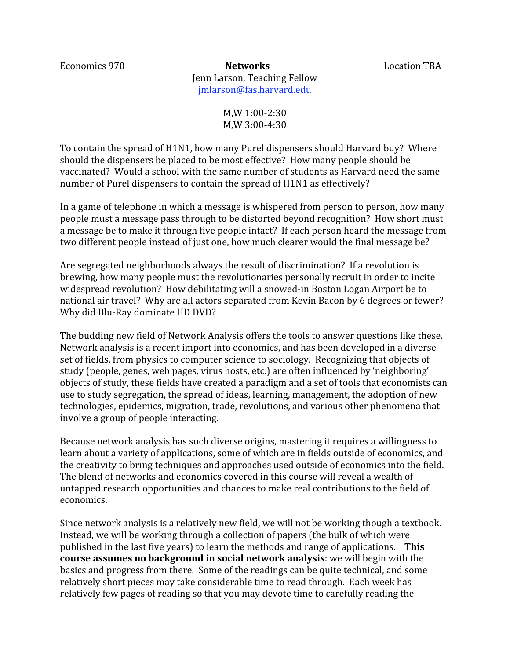Economics 970 **Networks** Location TBA Jenn
Larson,
Teaching
Fellow jmlarson@fas.harvard.edu

> M,W
> 1:00‐2:30 M,W
> 3:00‐4:30

To
contain
the
spread
of
H1N1,
how
many
Purel
dispensers
should
Harvard
buy?

Where should
the
dispensers
be
placed
to
be
most
effective?

How
many
people
should
be vaccinated?

Would
a
school
with
the
same
number
of
students
as
Harvard
need
the
same number of Purel dispensers to contain the spread of H1N1 as effectively?

In a game of telephone in which a message is whispered from person to person, how many people
must
a
message
pass
through
to
be
distorted
beyond
recognition?

How
short
must a message be to make it through five people intact? If each person heard the message from two different people instead of just one, how much clearer would the final message be?

Are
segregated
neighborhoods
always
the
result
of
discrimination?

If
a
revolution
is brewing,
how
many
people
must
the
revolutionaries
personally
recruit
in
order
to
incite widespread revolution? How debilitating will a snowed-in Boston Logan Airport be to national air travel? Why are all actors separated from Kevin Bacon by 6 degrees or fewer? Why did Blu-Ray dominate HD DVD?

The
budding
new
field
of
Network
Analysis
offers
the
tools
to
answer
questions
like
these. Network
analysis
is
a
recent
import
into
economics,
and
has
been
developed
in
a
diverse set of fields, from physics to computer science to sociology. Recognizing that objects of study
(people,
genes,
web
pages,
virus
hosts,
etc.)
are
often
influenced
by
'neighboring' objects
of
study,
these
fields
have
created
a
paradigm
and
a
set
of
tools
that
economists
can use to study segregation, the spread of ideas, learning, management, the adoption of new technologies,
epidemics,
migration,
trade,
revolutions,
and
various
other
phenomena
that involve
a
group
of
people
interacting.

Because
network
analysis
has
such
diverse
origins,
mastering
it
requires
a
willingness
to learn about a variety of applications, some of which are in fields outside of economics, and the
creativity
to
bring
techniques
and
approaches
used
outside
of
economics
into
the
field. The blend of networks and economics covered in this course will reveal a wealth of untapped
research
opportunities
and
chances
to
make
real
contributions
to
the
field
of economics.

Since
network
analysis
is
a
relatively
new
field,
we
will
not
be
working
though
a
textbook. Instead, we will be working through a collection of papers (the bulk of which were published in the last five years) to learn the methods and range of applications. This **course assumes no background in social network analysis**: we will begin with the basics
and
progress
from
there.

Some
of
the
readings
can
be
quite
technical,
and
some relatively
short
pieces
may
take
considerable
time
to
read
through.

Each
week
has relatively
few
pages
of
reading
so
that
you
may
devote
time
to
carefully
reading
the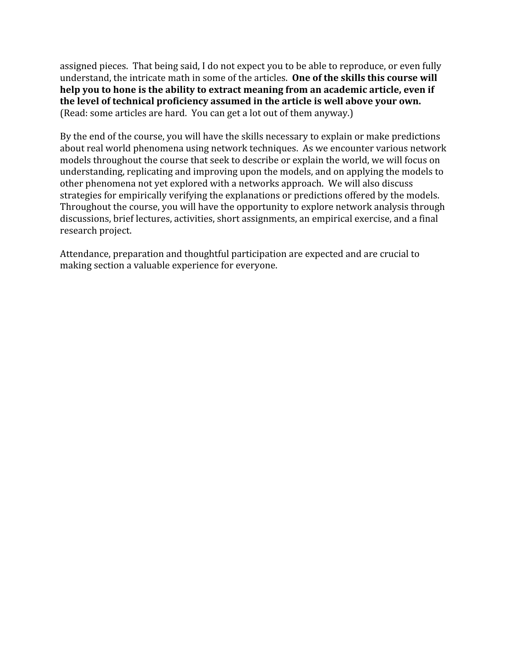assigned
pieces.

That
being
said,
I
do
not
expect
you
to
be
able
to
reproduce,
or
even
fully understand, the intricate math in some of the articles. One of the skills this course will help you to hone is the ability to extract meaning from an academic article, even if the level of technical proficiency assumed in the article is well above your own. (Read:
some
articles
are
hard.

You
can
get
a
lot
out
of
them
anyway.)

By the end of the course, you will have the skills necessary to explain or make predictions about
real
world
phenomena
using
network
techniques.

As
we
encounter
various
network models
throughout
the
course
that
seek
to
describe
or
explain
the
world,
we
will
focus
on understanding, replicating and improving upon the models, and on applying the models to other
phenomena
not
yet
explored
with
a
networks
approach.

We
will
also
discuss strategies
for
empirically
verifying
the
explanations
or
predictions
offered
by
the
models. Throughout the course, you will have the opportunity to explore network analysis through discussions, brief lectures, activities, short assignments, an empirical exercise, and a final research
project.

Attendance, preparation and thoughtful participation are expected and are crucial to making
section
a
valuable
experience
for
everyone.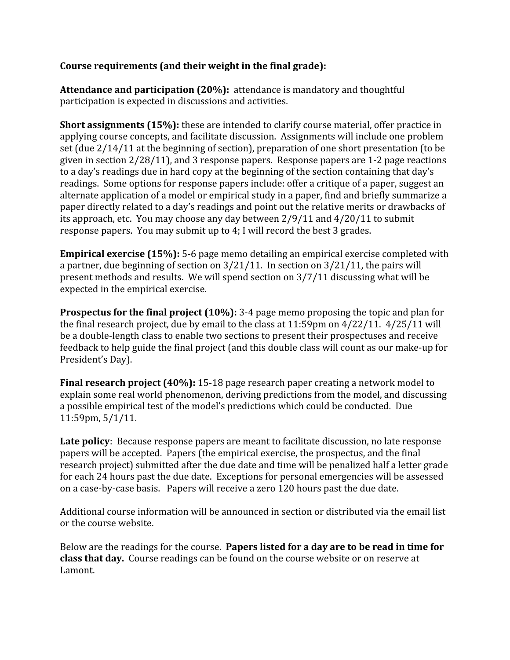# **Course
requirements
(and
their
weight
in
the
final
grade):**

Attendance and participation (20%): attendance is mandatory and thoughtful participation
is
expected
in
discussions
and
activities.

**Short assignments (15%):** these are intended to clarify course material, offer practice in applying
course
concepts,
and
facilitate
discussion.

Assignments
will
include
one
problem set (due  $2/14/11$  at the beginning of section), preparation of one short presentation (to be given
in
section
2/28/11),
and
3
response
papers.

Response
papers
are
1‐2
page
reactions to a day's readings due in hard copy at the beginning of the section containing that day's readings. Some options for response papers include: offer a critique of a paper, suggest an alternate application of a model or empirical study in a paper, find and briefly summarize a paper
directly
related
to
a
day's
readings
and
point
out
the
relative
merits
or
drawbacks
of its
approach,
etc.

You
may
choose
any
day
between
2/9/11
and
4/20/11
to
submit response
papers.

You
may
submit
up
to
4;
I
will
record
the
best
3
grades.

**Empirical exercise (15%):** 5-6 page memo detailing an empirical exercise completed with a partner, due beginning of section on  $3/21/11$ . In section on  $3/21/11$ , the pairs will present
methods
and
results.

We
will
spend
section
on
3/7/11 discussing
what
will
be expected
in
the
empirical
exercise.

**Prospectus for the final project (10%):** 3-4 page memo proposing the topic and plan for the final research project, due by email to the class at 11:59pm on 4/22/11. 4/25/11 will be a double-length class to enable two sections to present their prospectuses and receive feedback to help guide the final project (and this double class will count as our make-up for President's
Day).

**Final research project (40%):** 15-18 page research paper creating a network model to explain
some
real
world
phenomenon,
deriving
predictions
from
the
model,
and
discussing a possible empirical test of the model's predictions which could be conducted. Due 11:59pm,
5/1/11.

Late policy: Because response papers are meant to facilitate discussion, no late response papers
will
be
accepted.

Papers
(the
empirical
exercise,
the
prospectus,
and
the
final research project) submitted after the due date and time will be penalized half a letter grade for
each
24
hours
past
the
due
date.

Exceptions
for
personal
emergencies
will
be
assessed on a case-by-case basis. Papers will receive a zero 120 hours past the due date.

Additional course information will be announced in section or distributed via the email list or
the
course
website.

Below are the readings for the course. **Papers listed for a day are to be read in time for class that day.** Course readings can be found on the course website or on reserve at Lamont.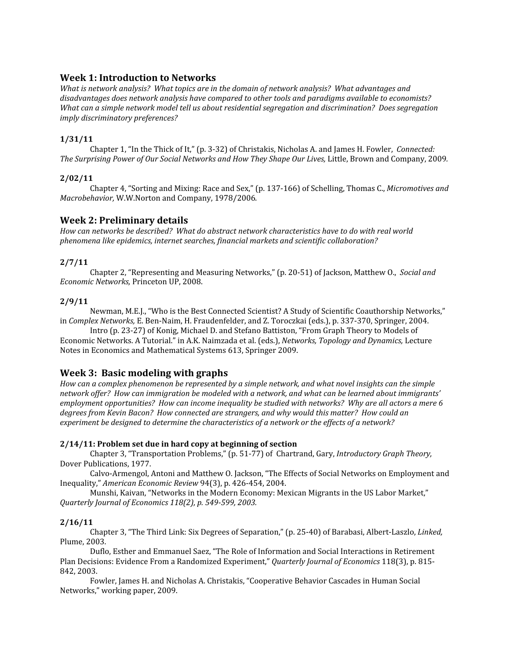## **Week
1:
Introduction
to
Networks**

What is network analysis? What topics are in the domain of network analysis? What advantages and disadvantages does network analysis have compared to other tools and paradigms available to economists? What can a simple network model tell us about residential segregation and discrimination? Does segregation *imply
discriminatory
preferences?*

## **1/31/11**

Chapter 1, "In the Thick of It," (p. 3-32) of Christakis, Nicholas A. and James H. Fowler, *Connected:* The Surprising Power of Our Social Networks and How They Shape Our Lives, Little, Brown and Company, 2009.

#### **2/02/11**

Chapter 4, "Sorting and Mixing: Race and Sex," (p. 137-166) of Schelling, Thomas C., *Micromotives and Macrobehavior,* W.W.Norton
and
Company,
1978/2006*.*

## **Week
2:
Preliminary
details**

*How
can
networks
be
described?

What
do
abstract
network
characteristics
have
to
do
with
real
world phenomena
like
epidemics,
internet
searches,
financial
markets
and
scientific
collaboration?* 

#### **2/7/11**

Chapter 2, "Representing and Measuring Networks," (p. 20-51) of Jackson, Matthew O., *Social and Economic
Networks,* Princeton
UP,
2008.

#### **2/9/11**

Newman, M.E.J., "Who is the Best Connected Scientist? A Study of Scientific Coauthorship Networks," in Complex Networks, E. Ben-Naim, H. Fraudenfelder, and Z. Toroczkai (eds.), p. 337-370, Springer, 2004.

Intro (p. 23-27) of Konig, Michael D. and Stefano Battiston, "From Graph Theory to Models of Economic
Networks.
A
Tutorial."
in
A.K.
Naimzada
et
al.
(eds.), *Networks,
Topology
and
Dynamics,* Lecture Notes
in
Economics
and
Mathematical
Systems
613,
Springer
2009.

## **Week
3: Basic
modeling
with
graphs**

How can a complex phenomenon be represented by a simple network, and what novel insights can the simple network offer? How can immigration be modeled with a network, and what can be learned about immigrants' employment opportunities? How can income inequality be studied with networks? Why are all actors a mere 6 degrees from Kevin Bacon? How connected are strangers, and why would this matter? How could an experiment be designed to determine the characteristics of a network or the effects of a network?

#### **2/14/11:
Problem
set
due
in
hard
copy
at
beginning
of
section**

Chapter
3,
"Transportation
Problems,"
(p.
51‐77)
of Chartrand,
Gary, *Introductory
Graph
Theory,* Dover
Publications,
1977.

Calvo-Armengol, Antoni and Matthew O. Jackson, "The Effects of Social Networks on Employment and Inequality," *American
Economic
Review* 94(3),
p.
426‐454, 2004.

Munshi, Kaivan, "Networks in the Modern Economy: Mexican Migrants in the US Labor Market," *Quarterly
Journal
of
Economics
118(2),
p.
549599,
2003.*

#### **2/16/11**

Chapter 3, "The Third Link: Six Degrees of Separation," (p. 25-40) of Barabasi, Albert-Laszlo, Linked, Plume,
2003.

Duflo,
Esther
and
Emmanuel Saez,
"The
Role
of
Information
and
Social
Interactions
in
Retirement Plan Decisions: Evidence From a Randomized Experiment," *Quarterly Journal of Economics* 118(3), p. 815-842,
2003.

Fowler, James H. and Nicholas A. Christakis, "Cooperative Behavior Cascades in Human Social Networks,"
working
paper,
2009.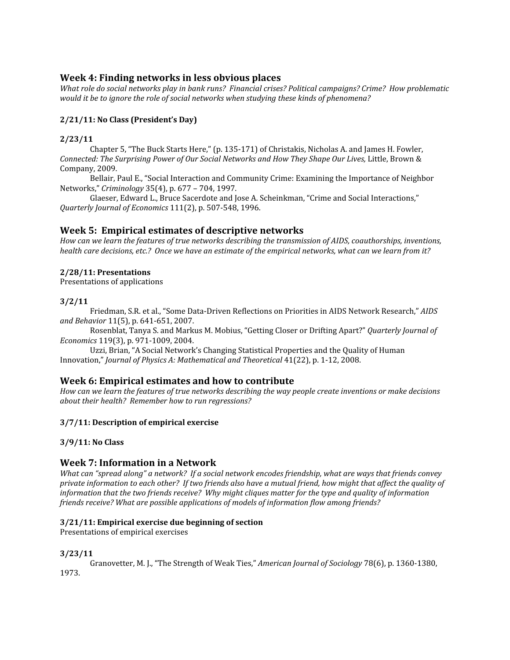## **Week
4:
Finding
networks
in
less
obvious
places**

What role do social networks play in bank runs? Financial crises? Political campaigns? Crime? How problematic would it be to ignore the role of social networks when studying these kinds of phenomena?

## **2/21/11:
No
Class
(President's
Day)**

## **2/23/11**

Chapter 5, "The Buck Starts Here," (p. 135-171) of Christakis, Nicholas A. and James H. Fowler, Connected: The Surprising Power of Our Social Networks and How They Shape Our Lives, Little, Brown & Company,
2009.

Bellair, Paul E., "Social Interaction and Community Crime: Examining the Importance of Neighbor Networks," *Criminology* 35(4),
p.
677
–
704,
1997.

Glaeser, Edward L., Bruce Sacerdote and Jose A. Scheinkman, "Crime and Social Interactions," *Quarterly
Journal
of
Economics* 111(2),
p.
507‐548,
1996.

## **Week
5:

Empirical
estimates
of
descriptive
networks**

How can we learn the features of true networks describing the transmission of AIDS, coauthorships, inventions, health care decisions, etc.? Once we have an estimate of the empirical networks, what can we learn from it?

## **2/28/11:
Presentations**

Presentations
of
applications

## **3/2/11**

Friedman, S.R. et al., "Some Data-Driven Reflections on Priorities in AIDS Network Research," AIDS *and
Behavior* 11(5),
p.
641‐651, 2007.

Rosenblat, Tanya S. and Markus M. Mobius, "Getting Closer or Drifting Apart?" Quarterly Journal of *Economics* 119(3),
p.
971‐1009,
2004.

Uzzi, Brian, "A Social Network's Changing Statistical Properties and the Quality of Human Innovation," *Journal
of
Physics
A:
Mathematical
and
Theoretical* 41(22),
p.
1‐12,
2008.

## **Week
6:
Empirical
estimates
and
how
to
contribute**

How can we learn the features of true networks describing the way people create inventions or make decisions *about
their
health?

Remember
how
to
run
regressions?*

#### **3/7/11: Description
of
empirical
exercise**

## **3/9/11:
No
Class**

## **Week
7:
Information
in
a
Network**

What can "spread along" a network? If a social network encodes friendship, what are ways that friends convey private information to each other? If two friends also have a mutual friend, how might that affect the quality of information that the two friends receive? Why might cliques matter for the type and quality of information friends receive? What are possible applications of models of information flow among friends?

#### **3/21/11:
Empirical
exercise
due
beginning
of
section**

Presentations
of
empirical
exercises

## **3/23/11**

Granovetter, M. J., "The Strength of Weak Ties," American Journal of Sociology 78(6), p. 1360-1380, 1973.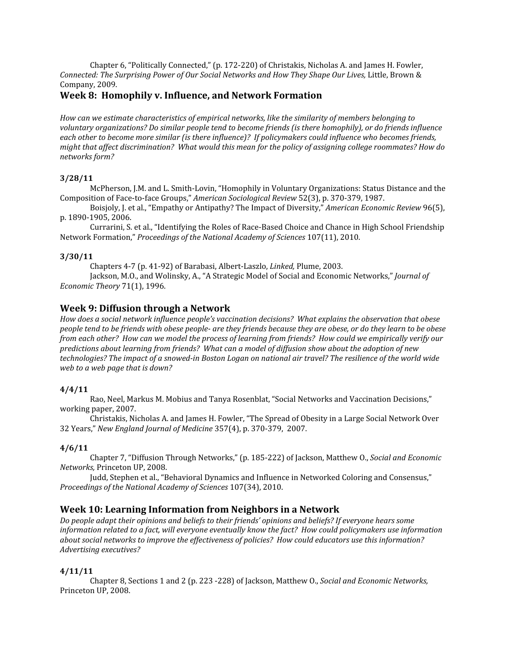Chapter 6, "Politically Connected," (p. 172-220) of Christakis, Nicholas A. and James H. Fowler, Connected: The Surprising Power of Our Social Networks and How They Shape Our Lives, Little, Brown & Company,
2009.

## **Week
8:

Homophily
v.
Influence,
and
Network
Formation**

*How
can
we
estimate
characteristics
of
empirical
networks,
like
the
similarity
of
members
belonging
to*  voluntary organizations? Do similar people tend to become friends (is there homophily), or do friends influence each other to become more similar (is there influence)? If policymakers could influence who becomes friends, might that affect discrimination? What would this mean for the policy of assigning college roommates? How do *networks
form?*

#### **3/28/11**

McPherson, J.M. and L. Smith-Lovin, "Homophily in Voluntary Organizations: Status Distance and the Composition of Face-to-face Groups," *American Sociological Review* 52(3), p. 370-379, 1987.

Boisjoly,
J.
et
al.,
"Empathy
or
Antipathy?
The
Impact
of
Diversity," *American
Economic
Review* 96(5), p.
1890‐1905, 2006.

Currarini, S. et al., "Identifying the Roles of Race-Based Choice and Chance in High School Friendship Network
Formation," *Proceedings
of
the
National
Academy
of
Sciences* 107(11),
2010.

#### **3/30/11**

Chapters
4‐7
(p.
41‐92)
of
Barabasi,
Albert‐Laszlo, *Linked,* Plume,
2003.

Jackson, M.O., and Wolinsky, A., "A Strategic Model of Social and Economic Networks," *Journal of Economic
Theory* 71(1),
1996.

## **Week
9: Diffusion
through
a
Network**

How does a social network influence people's vaccination decisions? What explains the observation that obese people tend to be friends with obese people- are they friends because they are obese, or do they learn to be obese from each other? How can we model the process of learning from friends? How could we empirically verify our *predictions
about
learning
from
friends?

What
can
a
model
of
diffusion
show
about
the
adoption
of
new*  technologies? The impact of a snowed-in Boston Logan on national air travel? The resilience of the world wide *web
to
a
web
page
that
is
down?*

#### **4/4/11**

Rao, Neel, Markus M. Mobius and Tanya Rosenblat, "Social Networks and Vaccination Decisions," working
paper,
2007.

Christakis,
Nicholas
A.
and
James
H.
Fowler,
"The
Spread
of
Obesity
in
a
Large
Social
Network
Over 32
Years," *New
England
Journal
of
Medicine* 357(4),
p.
370‐379, 2007.

## **4/6/11**

Chapter 7, "Diffusion Through Networks," (p. 185-222) of Jackson, Matthew O., *Social and Economic Networks,* Princeton
UP,
2008.

Judd, Stephen et al., "Behavioral Dynamics and Influence in Networked Coloring and Consensus," *Proceedings
of
the
National
Academy
of
Sciences* 107(34),
2010.

## **Week
10: Learning
Information
from
Neighbors
in
a
Network**

Do people adapt their opinions and beliefs to their friends' opinions and beliefs? If everyone hears some information related to a fact, will everyone eventually know the fact? How could policymakers use information about social networks to improve the effectiveness of policies? How could educators use this information? *Advertising
executives?* 

## **4/11/11**

Chapter
8,
Sections
1
and
2
(p.
223
‐228)
of
Jackson,
Matthew
O., *Social
and
Economic
Networks,*  Princeton
UP, 2008.